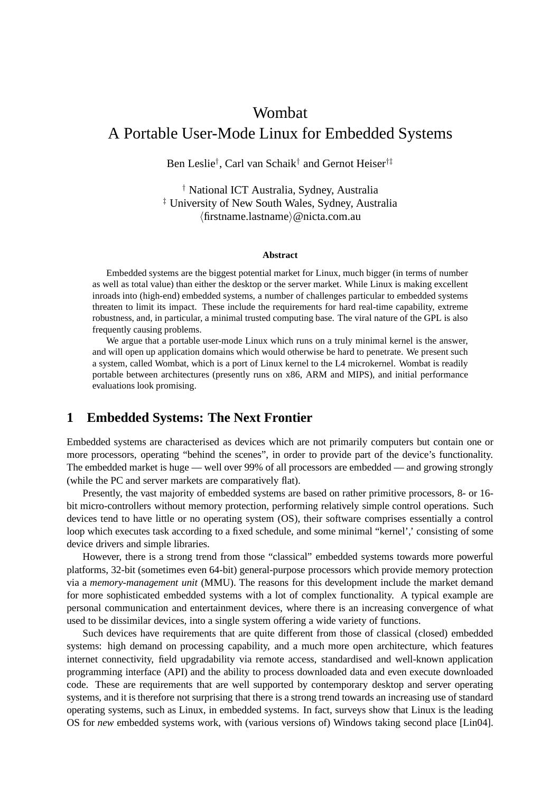# Wombat A Portable User-Mode Linux for Embedded Systems

Ben Leslie† , Carl van Schaik† and Gernot Heiser†‡

† National ICT Australia, Sydney, Australia ‡ University of New South Wales, Sydney, Australia  $\langle$ firstname.lastname $\rangle$ @nicta.com.au

#### **Abstract**

Embedded systems are the biggest potential market for Linux, much bigger (in terms of number as well as total value) than either the desktop or the server market. While Linux is making excellent inroads into (high-end) embedded systems, a number of challenges particular to embedded systems threaten to limit its impact. These include the requirements for hard real-time capability, extreme robustness, and, in particular, a minimal trusted computing base. The viral nature of the GPL is also frequently causing problems.

We argue that a portable user-mode Linux which runs on a truly minimal kernel is the answer, and will open up application domains which would otherwise be hard to penetrate. We present such a system, called Wombat, which is a port of Linux kernel to the L4 microkernel. Wombat is readily portable between architectures (presently runs on x86, ARM and MIPS), and initial performance evaluations look promising.

# **1 Embedded Systems: The Next Frontier**

Embedded systems are characterised as devices which are not primarily computers but contain one or more processors, operating "behind the scenes", in order to provide part of the device's functionality. The embedded market is huge — well over 99% of all processors are embedded — and growing strongly (while the PC and server markets are comparatively flat).

Presently, the vast majority of embedded systems are based on rather primitive processors, 8- or 16 bit micro-controllers without memory protection, performing relatively simple control operations. Such devices tend to have little or no operating system (OS), their software comprises essentially a control loop which executes task according to a fixed schedule, and some minimal "kernel',' consisting of some device drivers and simple libraries.

However, there is a strong trend from those "classical" embedded systems towards more powerful platforms, 32-bit (sometimes even 64-bit) general-purpose processors which provide memory protection via a *memory-management unit* (MMU). The reasons for this development include the market demand for more sophisticated embedded systems with a lot of complex functionality. A typical example are personal communication and entertainment devices, where there is an increasing convergence of what used to be dissimilar devices, into a single system offering a wide variety of functions.

Such devices have requirements that are quite different from those of classical (closed) embedded systems: high demand on processing capability, and a much more open architecture, which features internet connectivity, field upgradability via remote access, standardised and well-known application programming interface (API) and the ability to process downloaded data and even execute downloaded code. These are requirements that are well supported by contemporary desktop and server operating systems, and it is therefore not surprising that there is a strong trend towards an increasing use of standard operating systems, such as Linux, in embedded systems. In fact, surveys show that Linux is the leading OS for *new* embedded systems work, with (various versions of) Windows taking second place [Lin04].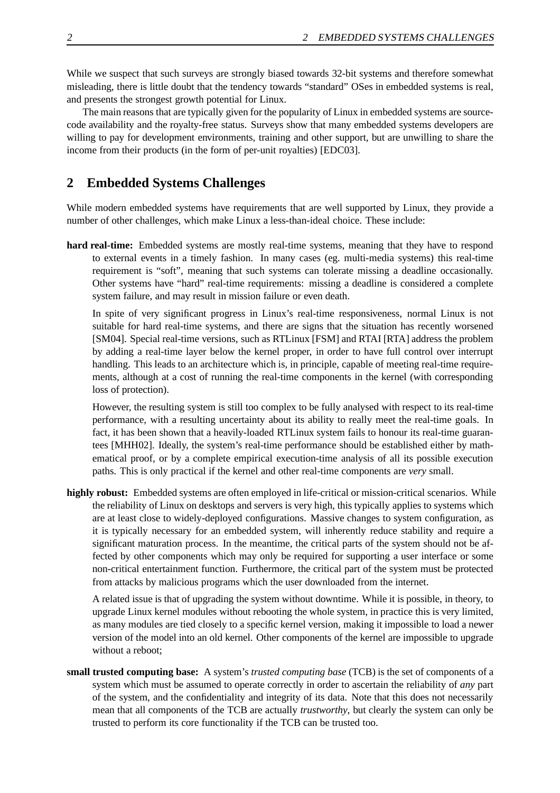While we suspect that such surveys are strongly biased towards 32-bit systems and therefore somewhat misleading, there is little doubt that the tendency towards "standard" OSes in embedded systems is real, and presents the strongest growth potential for Linux.

The main reasons that are typically given for the popularity of Linux in embedded systems are sourcecode availability and the royalty-free status. Surveys show that many embedded systems developers are willing to pay for development environments, training and other support, but are unwilling to share the income from their products (in the form of per-unit royalties) [EDC03].

## **2 Embedded Systems Challenges**

While modern embedded systems have requirements that are well supported by Linux, they provide a number of other challenges, which make Linux a less-than-ideal choice. These include:

**hard real-time:** Embedded systems are mostly real-time systems, meaning that they have to respond to external events in a timely fashion. In many cases (eg. multi-media systems) this real-time requirement is "soft", meaning that such systems can tolerate missing a deadline occasionally. Other systems have "hard" real-time requirements: missing a deadline is considered a complete system failure, and may result in mission failure or even death.

In spite of very significant progress in Linux's real-time responsiveness, normal Linux is not suitable for hard real-time systems, and there are signs that the situation has recently worsened [SM04]. Special real-time versions, such as RTLinux [FSM] and RTAI [RTA] address the problem by adding a real-time layer below the kernel proper, in order to have full control over interrupt handling. This leads to an architecture which is, in principle, capable of meeting real-time requirements, although at a cost of running the real-time components in the kernel (with corresponding loss of protection).

However, the resulting system is still too complex to be fully analysed with respect to its real-time performance, with a resulting uncertainty about its ability to really meet the real-time goals. In fact, it has been shown that a heavily-loaded RTLinux system fails to honour its real-time guarantees [MHH02]. Ideally, the system's real-time performance should be established either by mathematical proof, or by a complete empirical execution-time analysis of all its possible execution paths. This is only practical if the kernel and other real-time components are *very* small.

**highly robust:** Embedded systems are often employed in life-critical or mission-critical scenarios. While the reliability of Linux on desktops and servers is very high, this typically applies to systems which are at least close to widely-deployed configurations. Massive changes to system configuration, as it is typically necessary for an embedded system, will inherently reduce stability and require a significant maturation process. In the meantime, the critical parts of the system should not be affected by other components which may only be required for supporting a user interface or some non-critical entertainment function. Furthermore, the critical part of the system must be protected from attacks by malicious programs which the user downloaded from the internet.

A related issue is that of upgrading the system without downtime. While it is possible, in theory, to upgrade Linux kernel modules without rebooting the whole system, in practice this is very limited, as many modules are tied closely to a specific kernel version, making it impossible to load a newer version of the model into an old kernel. Other components of the kernel are impossible to upgrade without a reboot;

**small trusted computing base:** A system's *trusted computing base* (TCB) is the set of components of a system which must be assumed to operate correctly in order to ascertain the reliability of *any* part of the system, and the confidentiality and integrity of its data. Note that this does not necessarily mean that all components of the TCB are actually *trustworthy*, but clearly the system can only be trusted to perform its core functionality if the TCB can be trusted too.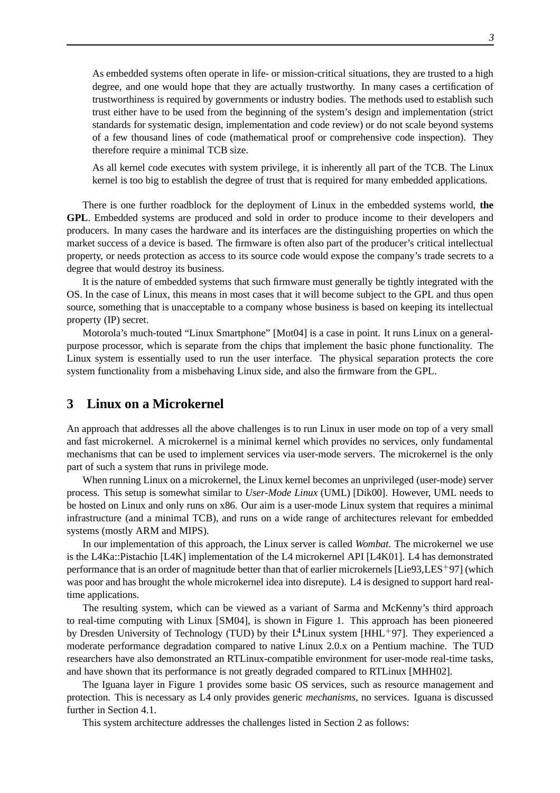As embedded systems often operate in life- or mission-critical situations, they are trusted to a high degree, and one would hope that they are actually trustworthy. In many cases a certification of trustworthiness is required by governments or industry bodies. The methods used to establish such trust either have to be used from the beginning of the system's design and implementation (strict standards for systematic design, implementation and code review) or do not scale beyond systems of a few thousand lines of code (mathematical proof or comprehensive code inspection). They therefore require a minimal TCB size.

As all kernel code executes with system privilege, it is inherently all part of the TCB. The Linux kernel is too big to establish the degree of trust that is required for many embedded applications.

There is one further roadblock for the deployment of Linux in the embedded systems world, **the GPL**. Embedded systems are produced and sold in order to produce income to their developers and producers. In many cases the hardware and its interfaces are the distinguishing properties on which the market success of a device is based. The firmware is often also part of the producer's critical intellectual property, or needs protection as access to its source code would expose the company's trade secrets to a degree that would destroy its business.

It is the nature of embedded systems that such firmware must generally be tightly integrated with the OS. In the case of Linux, this means in most cases that it will become subject to the GPL and thus open source, something that is unacceptable to a company whose business is based on keeping its intellectual property (IP) secret.

Motorola's much-touted "Linux Smartphone" [Mot04] is a case in point. It runs Linux on a generalpurpose processor, which is separate from the chips that implement the basic phone functionality. The Linux system is essentially used to run the user interface. The physical separation protects the core system functionality from a misbehaving Linux side, and also the firmware from the GPL.

### **3 Linux on a Microkernel**

An approach that addresses all the above challenges is to run Linux in user mode on top of a very small and fast microkernel. A microkernel is a minimal kernel which provides no services, only fundamental mechanisms that can be used to implement services via user-mode servers. The microkernel is the only part of such a system that runs in privilege mode.

When running Linux on a microkernel, the Linux kernel becomes an unprivileged (user-mode) server process. This setup is somewhat similar to *User-Mode Linux* (UML) [Dik00]. However, UML needs to be hosted on Linux and only runs on x86. Our aim is a user-mode Linux system that requires a minimal infrastructure (and a minimal TCB), and runs on a wide range of architectures relevant for embedded systems (mostly ARM and MIPS).

In our implementation of this approach, the Linux server is called *Wombat*. The microkernel we use is the L4Ka::Pistachio [L4K] implementation of the L4 microkernel API [L4K01]. L4 has demonstrated performance that is an order of magnitude better than that of earlier microkernels [Lie93,LES+97] (which was poor and has brought the whole microkernel idea into disrepute). L4 is designed to support hard realtime applications.

The resulting system, which can be viewed as a variant of Sarma and McKenny's third approach to real-time computing with Linux [SM04], is shown in Figure 1. This approach has been pioneered by Dresden University of Technology (TUD) by their  $L^4$ Linux system [HHL<sup>+97]</sup>. They experienced a moderate performance degradation compared to native Linux 2.0.x on a Pentium machine. The TUD researchers have also demonstrated an RTLinux-compatible environment for user-mode real-time tasks, and have shown that its performance is not greatly degraded compared to RTLinux [MHH02].

The Iguana layer in Figure 1 provides some basic OS services, such as resource management and protection. This is necessary as L4 only provides generic *mechanisms*, no services. Iguana is discussed further in Section 4.1.

This system architecture addresses the challenges listed in Section 2 as follows: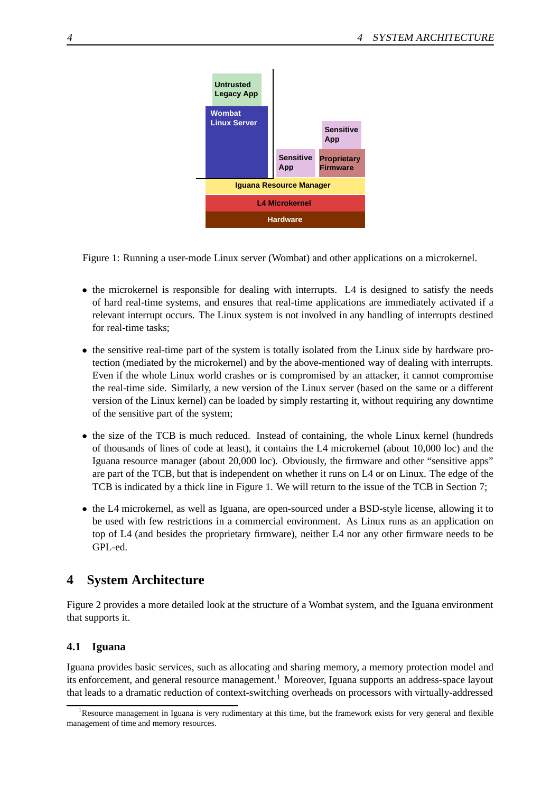

Figure 1: Running a user-mode Linux server (Wombat) and other applications on a microkernel.

- the microkernel is responsible for dealing with interrupts. L4 is designed to satisfy the needs of hard real-time systems, and ensures that real-time applications are immediately activated if a relevant interrupt occurs. The Linux system is not involved in any handling of interrupts destined for real-time tasks;
- the sensitive real-time part of the system is totally isolated from the Linux side by hardware protection (mediated by the microkernel) and by the above-mentioned way of dealing with interrupts. Even if the whole Linux world crashes or is compromised by an attacker, it cannot compromise the real-time side. Similarly, a new version of the Linux server (based on the same or a different version of the Linux kernel) can be loaded by simply restarting it, without requiring any downtime of the sensitive part of the system;
- the size of the TCB is much reduced. Instead of containing, the whole Linux kernel (hundreds of thousands of lines of code at least), it contains the L4 microkernel (about 10,000 loc) and the Iguana resource manager (about 20,000 loc). Obviously, the firmware and other "sensitive apps" are part of the TCB, but that is independent on whether it runs on L4 or on Linux. The edge of the TCB is indicated by a thick line in Figure 1. We will return to the issue of the TCB in Section 7;
- the L4 microkernel, as well as Iguana, are open-sourced under a BSD-style license, allowing it to be used with few restrictions in a commercial environment. As Linux runs as an application on top of L4 (and besides the proprietary firmware), neither L4 nor any other firmware needs to be GPL-ed.

# **4 System Architecture**

Figure 2 provides a more detailed look at the structure of a Wombat system, and the Iguana environment that supports it.

#### **4.1 Iguana**

Iguana provides basic services, such as allocating and sharing memory, a memory protection model and its enforcement, and general resource management.<sup>1</sup> Moreover, Iguana supports an address-space layout that leads to a dramatic reduction of context-switching overheads on processors with virtually-addressed

<sup>&</sup>lt;sup>1</sup>Resource management in Iguana is very rudimentary at this time, but the framework exists for very general and flexible management of time and memory resources.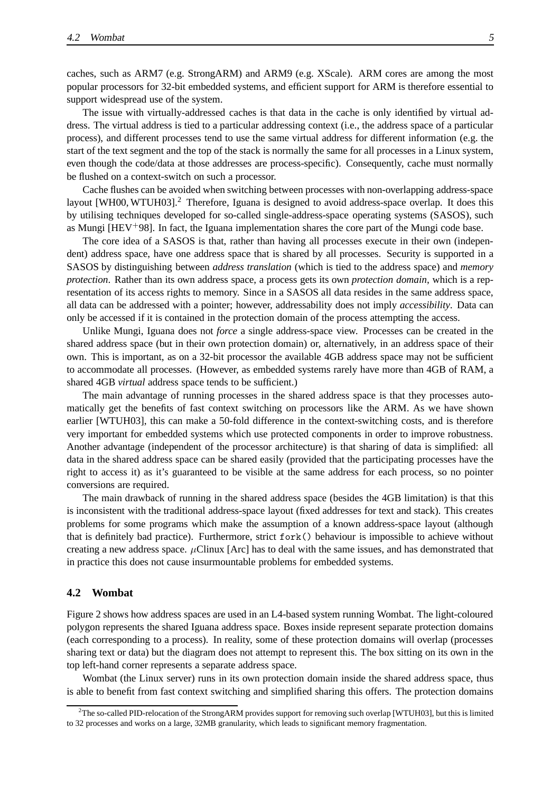caches, such as ARM7 (e.g. StrongARM) and ARM9 (e.g. XScale). ARM cores are among the most popular processors for 32-bit embedded systems, and efficient support for ARM is therefore essential to support widespread use of the system.

The issue with virtually-addressed caches is that data in the cache is only identified by virtual address. The virtual address is tied to a particular addressing context (i.e., the address space of a particular process), and different processes tend to use the same virtual address for different information (e.g. the start of the text segment and the top of the stack is normally the same for all processes in a Linux system, even though the code/data at those addresses are process-specific). Consequently, cache must normally be flushed on a context-switch on such a processor.

Cache flushes can be avoided when switching between processes with non-overlapping address-space layout [WH00, WTUH03].<sup>2</sup> Therefore, Iguana is designed to avoid address-space overlap. It does this by utilising techniques developed for so-called single-address-space operating systems (SASOS), such as Mungi  $[HEV+98]$ . In fact, the Iguana implementation shares the core part of the Mungi code base.

The core idea of a SASOS is that, rather than having all processes execute in their own (independent) address space, have one address space that is shared by all processes. Security is supported in a SASOS by distinguishing between *address translation* (which is tied to the address space) and *memory protection*. Rather than its own address space, a process gets its own *protection domain*, which is a representation of its access rights to memory. Since in a SASOS all data resides in the same address space, all data can be addressed with a pointer; however, addressability does not imply *accessibility*. Data can only be accessed if it is contained in the protection domain of the process attempting the access.

Unlike Mungi, Iguana does not *force* a single address-space view. Processes can be created in the shared address space (but in their own protection domain) or, alternatively, in an address space of their own. This is important, as on a 32-bit processor the available 4GB address space may not be sufficient to accommodate all processes. (However, as embedded systems rarely have more than 4GB of RAM, a shared 4GB *virtual* address space tends to be sufficient.)

The main advantage of running processes in the shared address space is that they processes automatically get the benefits of fast context switching on processors like the ARM. As we have shown earlier [WTUH03], this can make a 50-fold difference in the context-switching costs, and is therefore very important for embedded systems which use protected components in order to improve robustness. Another advantage (independent of the processor architecture) is that sharing of data is simplified: all data in the shared address space can be shared easily (provided that the participating processes have the right to access it) as it's guaranteed to be visible at the same address for each process, so no pointer conversions are required.

The main drawback of running in the shared address space (besides the 4GB limitation) is that this is inconsistent with the traditional address-space layout (fixed addresses for text and stack). This creates problems for some programs which make the assumption of a known address-space layout (although that is definitely bad practice). Furthermore, strict fork() behaviour is impossible to achieve without creating a new address space.  $\mu$ Clinux [Arc] has to deal with the same issues, and has demonstrated that in practice this does not cause insurmountable problems for embedded systems.

#### **4.2 Wombat**

Figure 2 shows how address spaces are used in an L4-based system running Wombat. The light-coloured polygon represents the shared Iguana address space. Boxes inside represent separate protection domains (each corresponding to a process). In reality, some of these protection domains will overlap (processes sharing text or data) but the diagram does not attempt to represent this. The box sitting on its own in the top left-hand corner represents a separate address space.

Wombat (the Linux server) runs in its own protection domain inside the shared address space, thus is able to benefit from fast context switching and simplified sharing this offers. The protection domains

<sup>&</sup>lt;sup>2</sup>The so-called PID-relocation of the StrongARM provides support for removing such overlap [WTUH03], but this is limited to 32 processes and works on a large, 32MB granularity, which leads to significant memory fragmentation.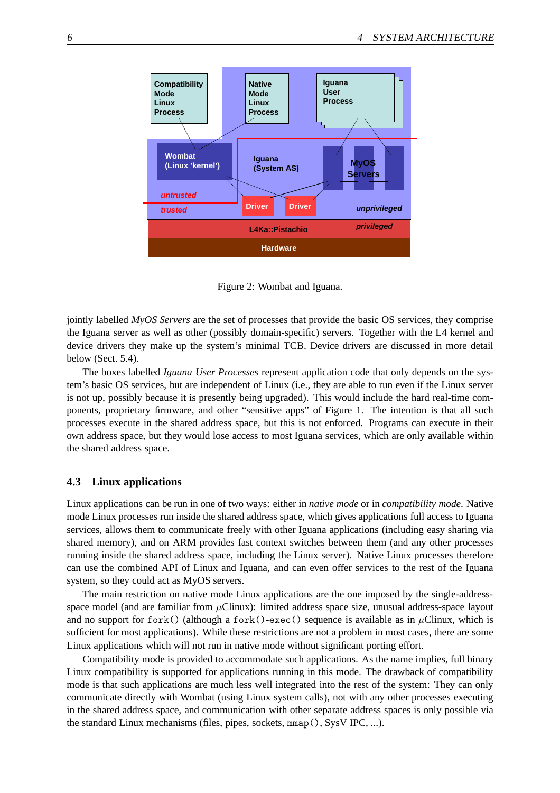

Figure 2: Wombat and Iguana.

jointly labelled *MyOS Servers* are the set of processes that provide the basic OS services, they comprise the Iguana server as well as other (possibly domain-specific) servers. Together with the L4 kernel and device drivers they make up the system's minimal TCB. Device drivers are discussed in more detail below (Sect. 5.4).

The boxes labelled *Iguana User Processes* represent application code that only depends on the system's basic OS services, but are independent of Linux (i.e., they are able to run even if the Linux server is not up, possibly because it is presently being upgraded). This would include the hard real-time components, proprietary firmware, and other "sensitive apps" of Figure 1. The intention is that all such processes execute in the shared address space, but this is not enforced. Programs can execute in their own address space, but they would lose access to most Iguana services, which are only available within the shared address space.

#### **4.3 Linux applications**

Linux applications can be run in one of two ways: either in *native mode* or in *compatibility mode*. Native mode Linux processes run inside the shared address space, which gives applications full access to Iguana services, allows them to communicate freely with other Iguana applications (including easy sharing via shared memory), and on ARM provides fast context switches between them (and any other processes running inside the shared address space, including the Linux server). Native Linux processes therefore can use the combined API of Linux and Iguana, and can even offer services to the rest of the Iguana system, so they could act as MyOS servers.

The main restriction on native mode Linux applications are the one imposed by the single-addressspace model (and are familiar from  $\mu$ Clinux): limited address space size, unusual address-space layout and no support for fork() (although a fork()-exec() sequence is available as in  $\mu$ Clinux, which is sufficient for most applications). While these restrictions are not a problem in most cases, there are some Linux applications which will not run in native mode without significant porting effort.

Compatibility mode is provided to accommodate such applications. As the name implies, full binary Linux compatibility is supported for applications running in this mode. The drawback of compatibility mode is that such applications are much less well integrated into the rest of the system: They can only communicate directly with Wombat (using Linux system calls), not with any other processes executing in the shared address space, and communication with other separate address spaces is only possible via the standard Linux mechanisms (files, pipes, sockets, mmap(), SysV IPC, ...).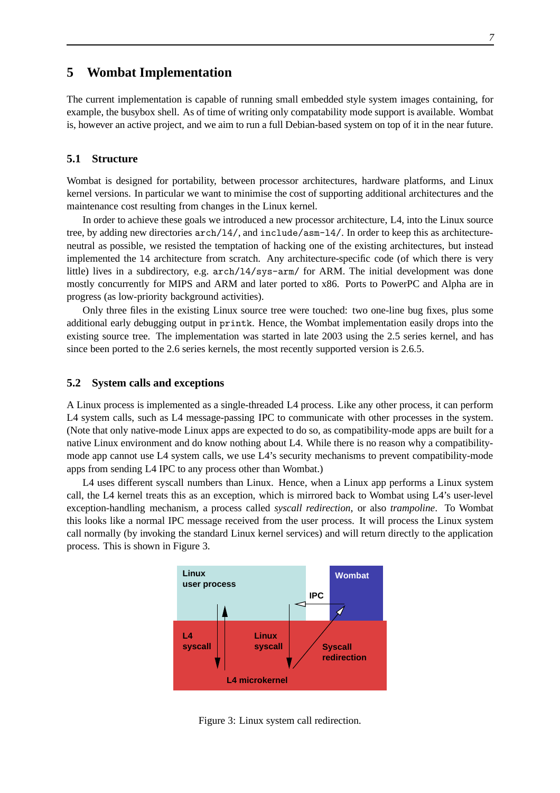### **5 Wombat Implementation**

The current implementation is capable of running small embedded style system images containing, for example, the busybox shell. As of time of writing only compatability mode support is available. Wombat is, however an active project, and we aim to run a full Debian-based system on top of it in the near future.

#### **5.1 Structure**

Wombat is designed for portability, between processor architectures, hardware platforms, and Linux kernel versions. In particular we want to minimise the cost of supporting additional architectures and the maintenance cost resulting from changes in the Linux kernel.

In order to achieve these goals we introduced a new processor architecture, L4, into the Linux source tree, by adding new directories arch/l4/, and include/asm-l4/. In order to keep this as architectureneutral as possible, we resisted the temptation of hacking one of the existing architectures, but instead implemented the l4 architecture from scratch. Any architecture-specific code (of which there is very little) lives in a subdirectory, e.g. arch/l4/sys-arm/ for ARM. The initial development was done mostly concurrently for MIPS and ARM and later ported to x86. Ports to PowerPC and Alpha are in progress (as low-priority background activities).

Only three files in the existing Linux source tree were touched: two one-line bug fixes, plus some additional early debugging output in printk. Hence, the Wombat implementation easily drops into the existing source tree. The implementation was started in late 2003 using the 2.5 series kernel, and has since been ported to the 2.6 series kernels, the most recently supported version is 2.6.5.

#### **5.2 System calls and exceptions**

A Linux process is implemented as a single-threaded L4 process. Like any other process, it can perform L4 system calls, such as L4 message-passing IPC to communicate with other processes in the system. (Note that only native-mode Linux apps are expected to do so, as compatibility-mode apps are built for a native Linux environment and do know nothing about L4. While there is no reason why a compatibilitymode app cannot use L4 system calls, we use L4's security mechanisms to prevent compatibility-mode apps from sending L4 IPC to any process other than Wombat.)

L4 uses different syscall numbers than Linux. Hence, when a Linux app performs a Linux system call, the L4 kernel treats this as an exception, which is mirrored back to Wombat using L4's user-level exception-handling mechanism, a process called *syscall redirection*, or also *trampoline*. To Wombat this looks like a normal IPC message received from the user process. It will process the Linux system call normally (by invoking the standard Linux kernel services) and will return directly to the application process. This is shown in Figure 3.



Figure 3: Linux system call redirection.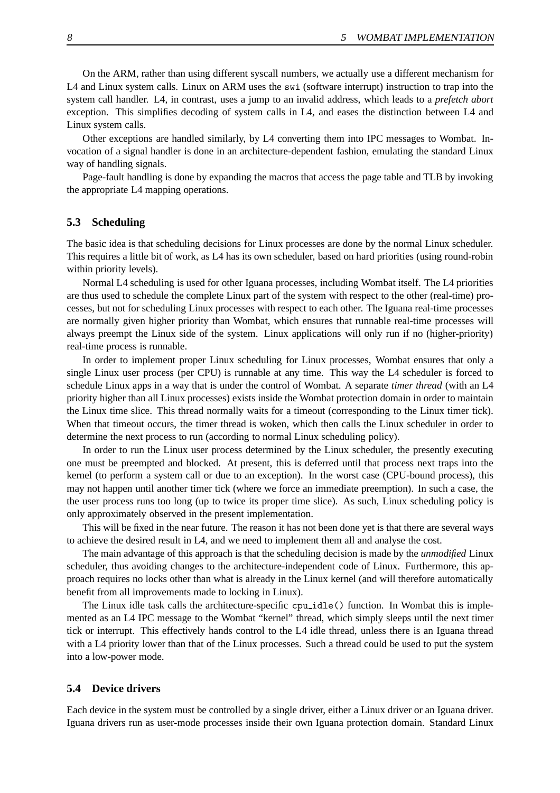On the ARM, rather than using different syscall numbers, we actually use a different mechanism for L4 and Linux system calls. Linux on ARM uses the swi (software interrupt) instruction to trap into the system call handler. L4, in contrast, uses a jump to an invalid address, which leads to a *prefetch abort* exception. This simplifies decoding of system calls in L4, and eases the distinction between L4 and Linux system calls.

Other exceptions are handled similarly, by L4 converting them into IPC messages to Wombat. Invocation of a signal handler is done in an architecture-dependent fashion, emulating the standard Linux way of handling signals.

Page-fault handling is done by expanding the macros that access the page table and TLB by invoking the appropriate L4 mapping operations.

#### **5.3 Scheduling**

The basic idea is that scheduling decisions for Linux processes are done by the normal Linux scheduler. This requires a little bit of work, as L4 has its own scheduler, based on hard priorities (using round-robin within priority levels).

Normal L4 scheduling is used for other Iguana processes, including Wombat itself. The L4 priorities are thus used to schedule the complete Linux part of the system with respect to the other (real-time) processes, but not for scheduling Linux processes with respect to each other. The Iguana real-time processes are normally given higher priority than Wombat, which ensures that runnable real-time processes will always preempt the Linux side of the system. Linux applications will only run if no (higher-priority) real-time process is runnable.

In order to implement proper Linux scheduling for Linux processes, Wombat ensures that only a single Linux user process (per CPU) is runnable at any time. This way the L4 scheduler is forced to schedule Linux apps in a way that is under the control of Wombat. A separate *timer thread* (with an L4 priority higher than all Linux processes) exists inside the Wombat protection domain in order to maintain the Linux time slice. This thread normally waits for a timeout (corresponding to the Linux timer tick). When that timeout occurs, the timer thread is woken, which then calls the Linux scheduler in order to determine the next process to run (according to normal Linux scheduling policy).

In order to run the Linux user process determined by the Linux scheduler, the presently executing one must be preempted and blocked. At present, this is deferred until that process next traps into the kernel (to perform a system call or due to an exception). In the worst case (CPU-bound process), this may not happen until another timer tick (where we force an immediate preemption). In such a case, the the user process runs too long (up to twice its proper time slice). As such, Linux scheduling policy is only approximately observed in the present implementation.

This will be fixed in the near future. The reason it has not been done yet is that there are several ways to achieve the desired result in L4, and we need to implement them all and analyse the cost.

The main advantage of this approach is that the scheduling decision is made by the *unmodified* Linux scheduler, thus avoiding changes to the architecture-independent code of Linux. Furthermore, this approach requires no locks other than what is already in the Linux kernel (and will therefore automatically benefit from all improvements made to locking in Linux).

The Linux idle task calls the architecture-specific cpu idle() function. In Wombat this is implemented as an L4 IPC message to the Wombat "kernel" thread, which simply sleeps until the next timer tick or interrupt. This effectively hands control to the L4 idle thread, unless there is an Iguana thread with a L4 priority lower than that of the Linux processes. Such a thread could be used to put the system into a low-power mode.

#### **5.4 Device drivers**

Each device in the system must be controlled by a single driver, either a Linux driver or an Iguana driver. Iguana drivers run as user-mode processes inside their own Iguana protection domain. Standard Linux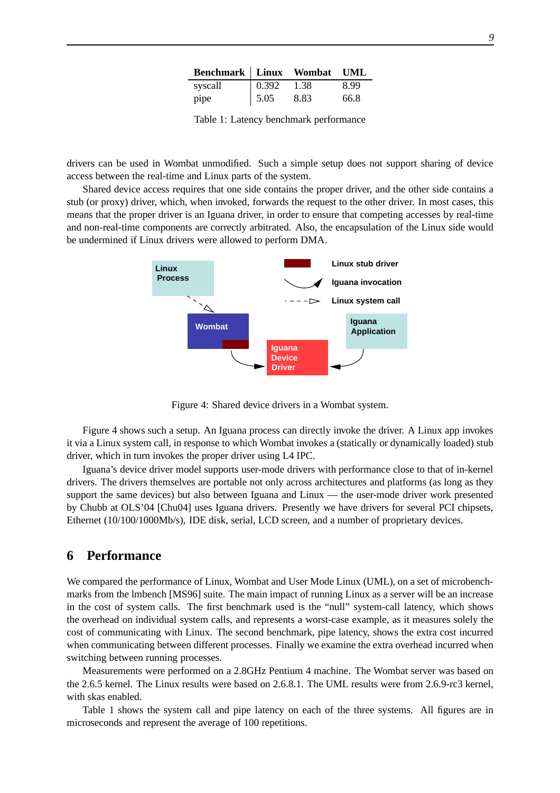| Benchmark Linux Wombat UML |       |      |      |
|----------------------------|-------|------|------|
| syscall                    | 0.392 | 1.38 | 8.99 |
| pipe                       | 5.05  | 8.83 | 66.8 |

Table 1: Latency benchmark performance

drivers can be used in Wombat unmodified. Such a simple setup does not support sharing of device access between the real-time and Linux parts of the system.

Shared device access requires that one side contains the proper driver, and the other side contains a stub (or proxy) driver, which, when invoked, forwards the request to the other driver. In most cases, this means that the proper driver is an Iguana driver, in order to ensure that competing accesses by real-time and non-real-time components are correctly arbitrated. Also, the encapsulation of the Linux side would be undermined if Linux drivers were allowed to perform DMA.



Figure 4: Shared device drivers in a Wombat system.

Figure 4 shows such a setup. An Iguana process can directly invoke the driver. A Linux app invokes it via a Linux system call, in response to which Wombat invokes a (statically or dynamically loaded) stub driver, which in turn invokes the proper driver using L4 IPC.

Iguana's device driver model supports user-mode drivers with performance close to that of in-kernel drivers. The drivers themselves are portable not only across architectures and platforms (as long as they support the same devices) but also between Iguana and Linux — the user-mode driver work presented by Chubb at OLS'04 [Chu04] uses Iguana drivers. Presently we have drivers for several PCI chipsets, Ethernet (10/100/1000Mb/s), IDE disk, serial, LCD screen, and a number of proprietary devices.

# **6 Performance**

We compared the performance of Linux, Wombat and User Mode Linux (UML), on a set of microbenchmarks from the lmbench [MS96] suite. The main impact of running Linux as a server will be an increase in the cost of system calls. The first benchmark used is the "null" system-call latency, which shows the overhead on individual system calls, and represents a worst-case example, as it measures solely the cost of communicating with Linux. The second benchmark, pipe latency, shows the extra cost incurred when communicating between different processes. Finally we examine the extra overhead incurred when switching between running processes.

Measurements were performed on a 2.8GHz Pentium 4 machine. The Wombat server was based on the 2.6.5 kernel. The Linux results were based on 2.6.8.1. The UML results were from 2.6.9-rc3 kernel, with skas enabled.

Table 1 shows the system call and pipe latency on each of the three systems. All figures are in microseconds and represent the average of 100 repetitions.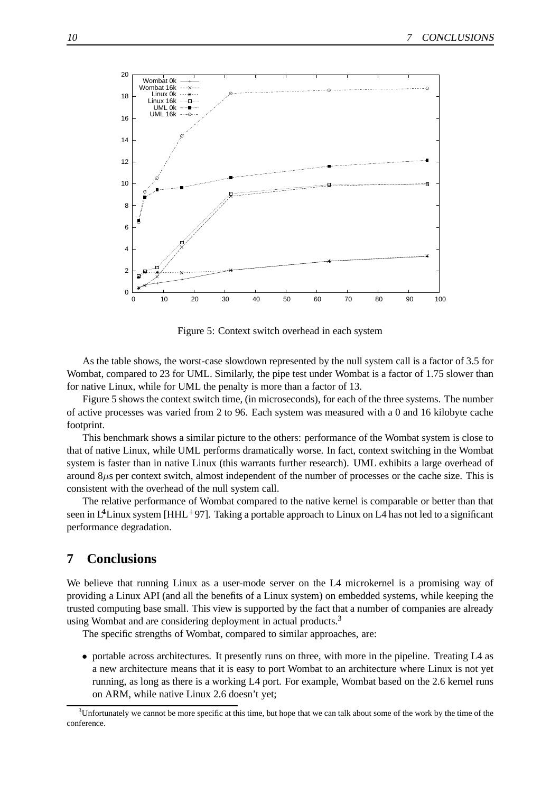

Figure 5: Context switch overhead in each system

As the table shows, the worst-case slowdown represented by the null system call is a factor of 3.5 for Wombat, compared to 23 for UML. Similarly, the pipe test under Wombat is a factor of 1.75 slower than for native Linux, while for UML the penalty is more than a factor of 13.

Figure 5 shows the context switch time, (in microseconds), for each of the three systems. The number of active processes was varied from 2 to 96. Each system was measured with a 0 and 16 kilobyte cache footprint.

This benchmark shows a similar picture to the others: performance of the Wombat system is close to that of native Linux, while UML performs dramatically worse. In fact, context switching in the Wombat system is faster than in native Linux (this warrants further research). UML exhibits a large overhead of around 8µs per context switch, almost independent of the number of processes or the cache size. This is consistent with the overhead of the null system call.

The relative performance of Wombat compared to the native kernel is comparable or better than that seen in  $L^4$ Linux system [HHL<sup>+97]</sup>. Taking a portable approach to Linux on L4 has not led to a significant performance degradation.

### **7 Conclusions**

We believe that running Linux as a user-mode server on the L4 microkernel is a promising way of providing a Linux API (and all the benefits of a Linux system) on embedded systems, while keeping the trusted computing base small. This view is supported by the fact that a number of companies are already using Wombat and are considering deployment in actual products.<sup>3</sup>

The specific strengths of Wombat, compared to similar approaches, are:

• portable across architectures. It presently runs on three, with more in the pipeline. Treating L4 as a new architecture means that it is easy to port Wombat to an architecture where Linux is not yet running, as long as there is a working L4 port. For example, Wombat based on the 2.6 kernel runs on ARM, while native Linux 2.6 doesn't yet;

 $3$ Unfortunately we cannot be more specific at this time, but hope that we can talk about some of the work by the time of the conference.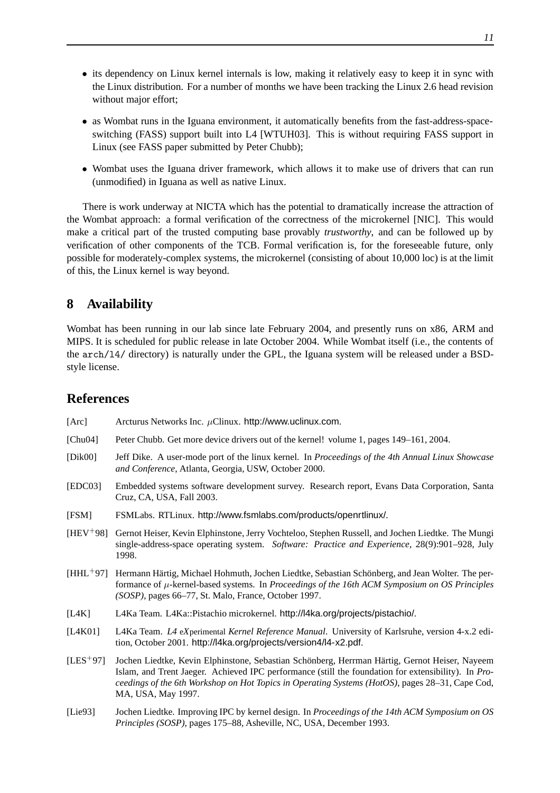- its dependency on Linux kernel internals is low, making it relatively easy to keep it in sync with the Linux distribution. For a number of months we have been tracking the Linux 2.6 head revision without major effort;
- as Wombat runs in the Iguana environment, it automatically benefits from the fast-address-spaceswitching (FASS) support built into L4 [WTUH03]. This is without requiring FASS support in Linux (see FASS paper submitted by Peter Chubb);
- Wombat uses the Iguana driver framework, which allows it to make use of drivers that can run (unmodified) in Iguana as well as native Linux.

There is work underway at NICTA which has the potential to dramatically increase the attraction of the Wombat approach: a formal verification of the correctness of the microkernel [NIC]. This would make a critical part of the trusted computing base provably *trustworthy*, and can be followed up by verification of other components of the TCB. Formal verification is, for the foreseeable future, only possible for moderately-complex systems, the microkernel (consisting of about 10,000 loc) is at the limit of this, the Linux kernel is way beyond.

# **8 Availability**

Wombat has been running in our lab since late February 2004, and presently runs on x86, ARM and MIPS. It is scheduled for public release in late October 2004. While Wombat itself (i.e., the contents of the arch/l4/ directory) is naturally under the GPL, the Iguana system will be released under a BSDstyle license.

### **References**

- [Arc] Arcturus Networks Inc.  $\mu$ Clinux. http://www.uclinux.com.
- [Chu04] Peter Chubb. Get more device drivers out of the kernel! volume 1, pages 149–161, 2004.
- [Dik00] Jeff Dike. A user-mode port of the linux kernel. In *Proceedings of the 4th Annual Linux Showcase and Conference*, Atlanta, Georgia, USW, October 2000.
- [EDC03] Embedded systems software development survey. Research report, Evans Data Corporation, Santa Cruz, CA, USA, Fall 2003.
- [FSM] FSMLabs. RTLinux. http://www.fsmlabs.com/products/openrtlinux/.
- [HEV+98] Gernot Heiser, Kevin Elphinstone, Jerry Vochteloo, Stephen Russell, and Jochen Liedtke. The Mungi single-address-space operating system. *Software: Practice and Experience*, 28(9):901–928, July 1998.
- $[HHL+97]$  Hermann Härtig, Michael Hohmuth, Jochen Liedtke, Sebastian Schönberg, and Jean Wolter. The performance of µ-kernel-based systems. In *Proceedings of the 16th ACM Symposium on OS Principles (SOSP)*, pages 66–77, St. Malo, France, October 1997.
- [L4K] L4Ka Team. L4Ka::Pistachio microkernel. http://l4ka.org/projects/pistachio/.
- [L4K01] L4Ka Team. *L4* e*X*perimental *Kernel Reference Manual*. University of Karlsruhe, version 4-x.2 edition, October 2001. http://l4ka.org/projects/version4/l4-x2.pdf.
- [LES<sup>+</sup>97] Jochen Liedtke, Kevin Elphinstone, Sebastian Sch¨onberg, Herrman H¨artig, Gernot Heiser, Nayeem Islam, and Trent Jaeger. Achieved IPC performance (still the foundation for extensibility). In *Proceedings of the 6th Workshop on Hot Topics in Operating Systems (HotOS)*, pages 28–31, Cape Cod, MA, USA, May 1997.
- [Lie93] Jochen Liedtke. Improving IPC by kernel design. In *Proceedings of the 14th ACM Symposium on OS Principles (SOSP)*, pages 175–88, Asheville, NC, USA, December 1993.